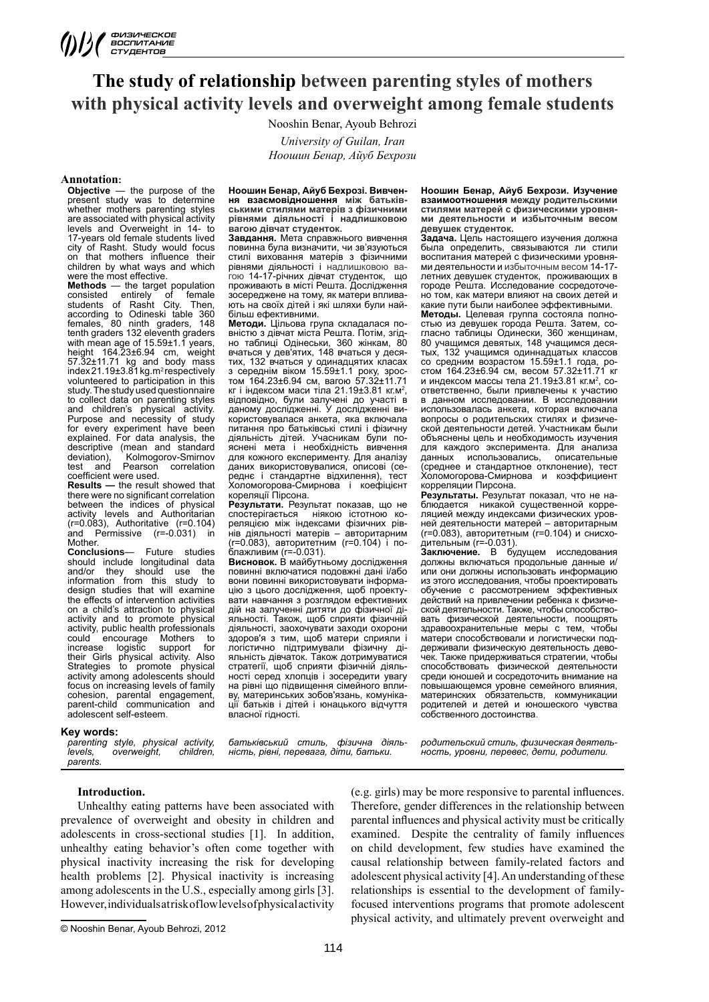# **The study of relationship between parenting styles of mothers with physical activity levels and overweight among female students**

Nooshin Benar, Ayoub Behrozi *University of Guilan, Iran Ноошин Бенар, Айуб Бехрози*

# **Annotation:**

the purpose of the present study was to determine whether mothers parenting styles are associated with physical activity levels and Overweight in 14- to 17-years old female students lived city of Rasht. Study would focus on that mothers influence their children by what ways and which were the most effective.

**Methods** — the target population consisted entirely of female students of Rasht City. Then, according to Odineski table 360 females, 80 ninth graders, 148 tenth graders 132 eleventh graders with mean age of 15.59±1.1 years, height 164.23±6.94 cm, weight 57.32±11.71 kg and body mass<br>index 21.19±3.81 kg.m<sup>2</sup>respectively volunteered to participation in this study. The study used questionnaire to collect data on parenting styles and children's physical activity. Purpose and necessity of study for every experiment have been explained. For data analysis, the descriptive (mean and standard<br>deviation). Kolmogorov-Smirnov deviation), Kolmogorov-Smirnov<br>test and Pearson correlation test and Pearson correlation coefficient were used.

**Results —** the result showed that there were no significant correlation between the indices of physical activity levels and Authoritarian (r=0.083), Authoritative (r=0.104) and Permissive (r=-0.031) in Mother.<br>Conclusions-

**Conclusions**— Future studies should include longitudinal data and/or they should use the information from this study to design studies that will examine the effects of intervention activities on a child's attraction to physical activity and to promote physical activity, public health professionals<br>could encourage Mothers to could encourage Mothers to<br>increase logistic support for increase their Girls physical activity. Also Strategies to promote physical activity among adolescents should focus on increasing levels of family cohesion, parental engagement, parent-child communication and adolescent self-esteem.

#### **Key words:**

*parenting style, physical activity, levels, overweight, children, parents.*

**Ноошин Бенар, Айуб Бехрозі. Вивчення взаємовідношення між батьківськими стилями матерів з фізичними рівнями діяльності і надлишковою вагою дівчат студенток.** 

**Завдання.** Мета справжнього вивчення повинна була визначити, чи зв'язуються стилі виховання матерів з фізичними рівнями діяльності і надлишковою вагою 14-17-річних дівчат студенток, що проживають в місті Решта. Дослідження зосереджене на тому, як матери впливають на своїх дітей і які шляхи були найбільш ефективними.

**Методи.** Цільова група складалася повністю з дівчат міста Решта. Потім, згідно таблиці Одінеськи, 360 жінкам, 80 вчаться у дев'ятих, 148 вчаться у десятих, 132 вчаться у одинадцятих класах з середнім віком 15.59±1.1 року, зростом 164.23±6.94 см, вагою 57.32±11.71 кг і індексом маси тіла 21.19±3.81 кг.м<sup>2</sup>, відповідно, були залучені до участі в даному дослідженні. У дослідженні використовувалася анкета, яка включала питання про батьківські стилі і фізичну діяльність дітей. Учасникам були поиснені мета і необхідність для кожного експерименту. Для аналізу даних використовувалися, описові (середнє і стандартне відхилення), тест Холомогорова-Смирнова і коефіцієнт кореляції Пірсона.

**Результати.** Результат показав, що не ніякою істотною кореляцією між індексами фізичних рівнів діяльності матерів – авторитарним (r=0.083), авторитетним (r=0.104) і поблажливим (r=-0.031).

**Висновок.** В майбутньому дослідження повинні включатися подовжні дані і/або вони повинні використовувати інформацію з цього дослідження, щоб проектувати навчання з розглядом ефективних дій на залученні дитяти до фізичної діяльності. Також, щоб сприяти фізичній діяльності, заохочувати заходи охорони здоров'я з тим, щоб матери сприяли і логістично підтримували фізичну діяльність дівчаток. Також дотримуватися стратегії, щоб сприяти фізичній діяльності серед хлопців і зосередити увагу на рівні що підвищення сімейного впливу, материнських зобов'язань, комунікації батьків і дітей і юнацького відчуття власної гідності.

*батьківський стиль, фізична діяльність, рівні, перевага, діти, батьки.*

**Ноошин Бенар, Айуб Бехрози. Изучение взаимоотношения между родительскими стилями матерей с физическими уровнями деятельности и избыточным весом девушек студенток.** 

**Задача.** Цель настоящего изучения должна была определить, связываются ли стили воспитания матерей с физическими уровнями деятельности и избыточным весом 14-17 летних девушек студенток, проживающих в городе Решта. Исследование сосредоточено том, как матери влияют на своих детей и какие пути были наиболее эффективными.

**Методы.** Целевая группа состояла полностью из девушек города Решта. Затем, согласно таблицы Одинески, 360 женщинам, 80 учащимся девятых, 148 учащимся десятых, 132 учащимся одиннадцатых классов со средним возрастом 15.59±1.1 года, ростом 164.23±6.94 см, весом 57.32±11.71 кг и индексом массы тела 21.19±3.81 кг.м<sup>2</sup>, соответственно, были привлечены к участию в данном исследовании. В исследовании использовалась анкета, которая включала вопросы о родительских стилях и физической деятельности детей. Участникам были объяснены цель и необходимость изучения для каждого эксперимента. Для анализа<br>данных использовались, описательные данных использовались, (среднее и стандартное отклонение), тест Холомогорова-Смирнова и коэффициент корреляции Пирсона.

**Результаты.** Результат показал, что не на-блюдается никакой существенной корреляцией между индексами физических уровней деятельности матерей – авторитарным (r=0.083), авторитетным (r=0.104) и снисходительным (r=-0.031).

**Заключение.** В будущем исследования должны включаться продольные данные и/ или они должны использовать информацию из этого исследования, чтобы проектировать обучение с рассмотрением эффективных действий на привлечении ребенка к физической деятельности. Также, чтобы способствовать физической деятельности, поощрять здравоохранительные меры с тем, чтобы матери способствовали и логистически поддерживали физическую деятельность девочек. Также придерживаться стратегии, чтобы способствовать физической деятельности среди юношей и сосредоточить внимание на повышающемся уровне семейного влияния, материнских обязательств, коммуникации родителей и детей и юношеского чувства собственного достоинства.

*родительский стиль, физическая деятельность, уровни, перевес, дети, родители.*

**Introduction.** 

Unhealthy eating patterns have been associated with prevalence of overweight and obesity in children and adolescents in cross-sectional studies [1]. In addition, unhealthy eating behavior's often come together with physical inactivity increasing the risk for developing health problems [2]. Physical inactivity is increasing among adolescents in the U.S., especially among girls [3]. However, individuals at risk of low levels of physical activity

© Nooshin Benar, Ayoub Behrozi, 2012

(e.g. girls) may be more responsive to parental influences. Therefore, gender differences in the relationship between parental influences and physical activity must be critically examined. Despite the centrality of family influences on child development, few studies have examined the causal relationship between family-related factors and adolescent physical activity [4]. An understanding of these relationships is essential to the development of familyfocused interventions programs that promote adolescent physical activity, and ultimately prevent overweight and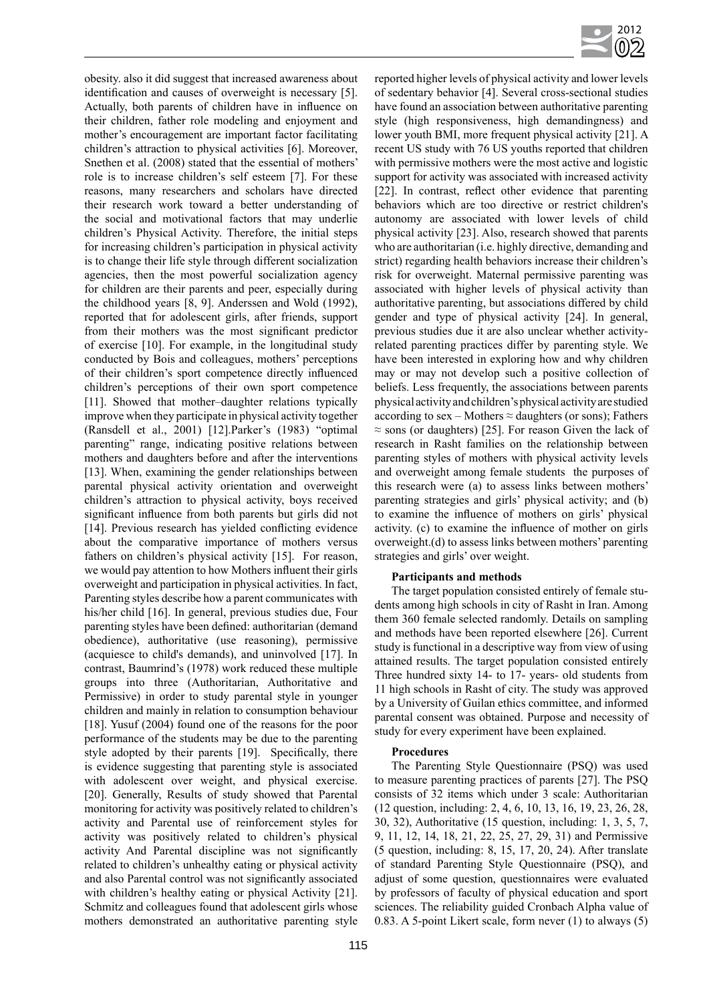

obesity. also it did suggest that increased awareness about identification and causes of overweight is necessary [5]. Actually, both parents of children have in influence on their children, father role modeling and enjoyment and mother's encouragement are important factor facilitating children's attraction to physical activities [6]. Moreover, Snethen et al. (2008) stated that the essential of mothers' role is to increase children's self esteem [7]. For these reasons, many researchers and scholars have directed their research work toward a better understanding of the social and motivational factors that may underlie children's Physical Activity. Therefore, the initial steps for increasing children's participation in physical activity is to change their life style through different socialization agencies, then the most powerful socialization agency for children are their parents and peer, especially during the childhood years [8, 9]. Anderssen and Wold (1992), reported that for adolescent girls, after friends, support from their mothers was the most significant predictor of exercise [10]. For example, in the longitudinal study conducted by Bois and colleagues, mothers' perceptions of their children's sport competence directly influenced children's perceptions of their own sport competence [11]. Showed that mother-daughter relations typically improve when they participate in physical activity together (Ransdell et al., 2001) [12].Parker's (1983) "optimal parenting" range, indicating positive relations between mothers and daughters before and after the interventions [13]. When, examining the gender relationships between parental physical activity orientation and overweight children's attraction to physical activity, boys received significant influence from both parents but girls did not [14]. Previous research has yielded conflicting evidence about the comparative importance of mothers versus fathers on children's physical activity [15]. For reason, we would pay attention to how Mothers influent their girls overweight and participation in physical activities. In fact, Parenting styles describe how a parent communicates with his/her child [16]. In general, previous studies due, Four parenting styles have been defined: authoritarian (demand obedience), authoritative (use reasoning), permissive (acquiesce to child's demands), and uninvolved [17]. In contrast, Baumrind's (1978) work reduced these multiple groups into three (Authoritarian, Authoritative and Permissive) in order to study parental style in younger children and mainly in relation to consumption behaviour [18]. Yusuf (2004) found one of the reasons for the poor performance of the students may be due to the parenting style adopted by their parents [19]. Specifically, there is evidence suggesting that parenting style is associated with adolescent over weight, and physical exercise. [20]. Generally, Results of study showed that Parental monitoring for activity was positively related to children's activity and Parental use of reinforcement styles for activity was positively related to children's physical activity And Parental discipline was not significantly related to children's unhealthy eating or physical activity and also Parental control was not significantly associated with children's healthy eating or physical Activity [21]. Schmitz and colleagues found that adolescent girls whose mothers demonstrated an authoritative parenting style reported higher levels of physical activity and lower levels of sedentary behavior [4]. Several cross-sectional studies have found an association between authoritative parenting style (high responsiveness, high demandingness) and lower youth BMI, more frequent physical activity [21]. A recent US study with 76 US youths reported that children with permissive mothers were the most active and logistic support for activity was associated with increased activity [22]. In contrast, reflect other evidence that parenting behaviors which are too directive or restrict children's autonomy are associated with lower levels of child physical activity [23]. Also, research showed that parents who are authoritarian (i.e. highly directive, demanding and strict) regarding health behaviors increase their children's risk for overweight. Maternal permissive parenting was associated with higher levels of physical activity than authoritative parenting, but associations differed by child gender and type of physical activity [24]. In general, previous studies due it are also unclear whether activityrelated parenting practices differ by parenting style. We have been interested in exploring how and why children may or may not develop such a positive collection of beliefs. Less frequently, the associations between parents physical activity and children's physical activity are studied according to sex – Mothers  $\approx$  daughters (or sons); Fathers  $\approx$  sons (or daughters) [25]. For reason Given the lack of research in Rasht families on the relationship between parenting styles of mothers with physical activity levels and overweight among female students the purposes of this research were (a) to assess links between mothers' parenting strategies and girls' physical activity; and (b) to examine the influence of mothers on girls' physical activity. (c) to examine the influence of mother on girls overweight.(d) to assess links between mothers' parenting strategies and girls' over weight.

## **Participants and methods**

The target population consisted entirely of female students among high schools in city of Rasht in Iran. Among them 360 female selected randomly. Details on sampling and methods have been reported elsewhere [26]. Current study is functional in a descriptive way from view of using attained results. The target population consisted entirely Three hundred sixty 14- to 17- years- old students from 11 high schools in Rasht of city. The study was approved by a University of Guilan ethics committee, and informed parental consent was obtained. Purpose and necessity of study for every experiment have been explained.

## **Procedures**

The Parenting Style Questionnaire (PSQ) was used to measure parenting practices of parents [27]. The PSQ consists of 32 items which under 3 scale: Authoritarian (12 question, including: 2, 4, 6, 10, 13, 16, 19, 23, 26, 28, 30, 32), Authoritative (15 question, including: 1, 3, 5, 7, 9, 11, 12, 14, 18, 21, 22, 25, 27, 29, 31) and Permissive (5 question, including: 8, 15, 17, 20, 24). After translate of standard Parenting Style Questionnaire (PSQ), and adjust of some question, questionnaires were evaluated by professors of faculty of physical education and sport sciences. The reliability guided Cronbach Alpha value of 0.83. A 5-point Likert scale, form never (1) to always (5)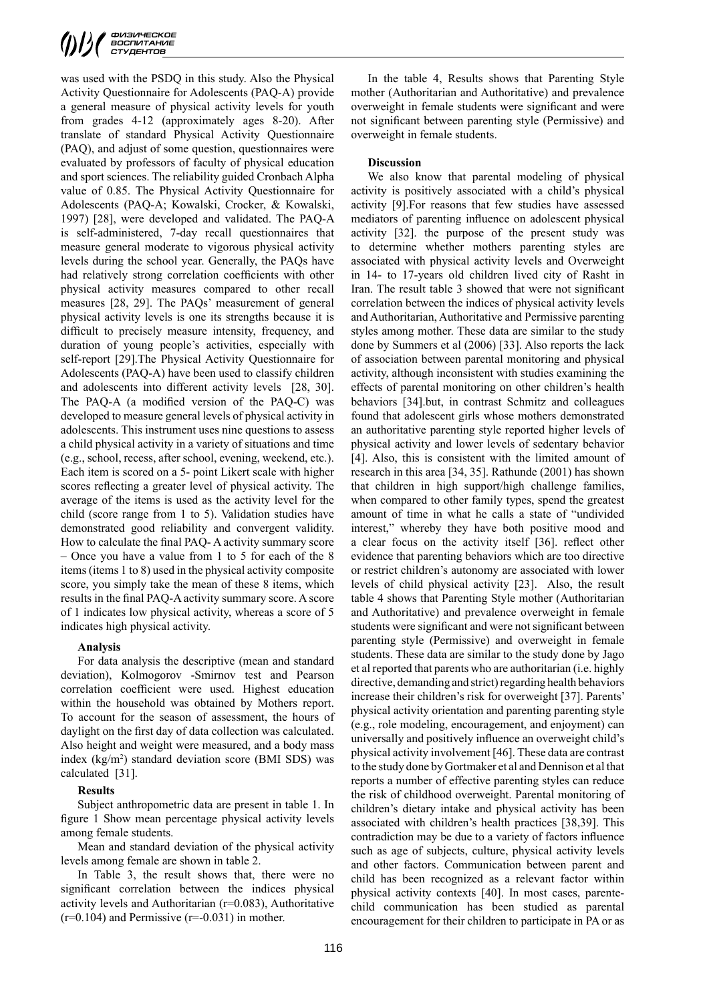was used with the PSDQ in this study. Also the Physical Activity Questionnaire for Adolescents (PAQ-A) provide a general measure of physical activity levels for youth from grades 4-12 (approximately ages 8-20). After translate of standard Physical Activity Questionnaire (PAQ), and adjust of some question, questionnaires were evaluated by professors of faculty of physical education and sport sciences. The reliability guided Cronbach Alpha value of 0.85. The Physical Activity Questionnaire for Adolescents (PAQ-A; Kowalski, Crocker, & Kowalski, 1997) [28], were developed and validated. The PAQ-A is self-administered, 7-day recall questionnaires that measure general moderate to vigorous physical activity levels during the school year. Generally, the PAQs have had relatively strong correlation coefficients with other physical activity measures compared to other recall measures [28, 29]. The PAQs' measurement of general physical activity levels is one its strengths because it is difficult to precisely measure intensity, frequency, and duration of young people's activities, especially with self-report [29].The Physical Activity Questionnaire for Adolescents (PAQ-A) have been used to classify children and adolescents into different activity levels [28, 30]. The PAQ-A (a modified version of the PAQ-C) was developed to measure general levels of physical activity in adolescents. This instrument uses nine questions to assess a child physical activity in a variety of situations and time (e.g., school, recess, after school, evening, weekend, etc.). Each item is scored on a 5- point Likert scale with higher scores reflecting a greater level of physical activity. The average of the items is used as the activity level for the child (score range from 1 to 5). Validation studies have demonstrated good reliability and convergent validity. How to calculate the final PAQ- A activity summary score – Once you have a value from 1 to 5 for each of the 8 items (items 1 to 8) used in the physical activity composite score, you simply take the mean of these 8 items, which results in the final PAQ-A activity summary score. A score of 1 indicates low physical activity, whereas a score of 5 indicates high physical activity.

#### **Analysis**

For data analysis the descriptive (mean and standard deviation), Kolmogorov -Smirnov test and Pearson correlation coefficient were used. Highest education within the household was obtained by Mothers report. To account for the season of assessment, the hours of daylight on the first day of data collection was calculated. Also height and weight were measured, and a body mass index (kg/m<sup>2</sup>) standard deviation score (BMI SDS) was calculated [31].

## **Results**

Subject anthropometric data are present in table 1. In figure 1 Show mean percentage physical activity levels among female students.

Mean and standard deviation of the physical activity levels among female are shown in table 2.

In Table 3, the result shows that, there were no significant correlation between the indices physical activity levels and Authoritarian (r=0.083), Authoritative  $(r=0.104)$  and Permissive  $(r=-0.031)$  in mother.

In the table 4, Results shows that Parenting Style mother (Authoritarian and Authoritative) and prevalence overweight in female students were significant and were not significant between parenting style (Permissive) and overweight in female students.

### **Discussion**

We also know that parental modeling of physical activity is positively associated with a child's physical activity [9].For reasons that few studies have assessed mediators of parenting influence on adolescent physical activity [32]. the purpose of the present study was to determine whether mothers parenting styles are associated with physical activity levels and Overweight in 14- to 17-years old children lived city of Rasht in Iran. The result table 3 showed that were not significant correlation between the indices of physical activity levels and Authoritarian, Authoritative and Permissive parenting styles among mother. These data are similar to the study done by Summers et al (2006) [33]. Also reports the lack of association between parental monitoring and physical activity, although inconsistent with studies examining the effects of parental monitoring on other children's health behaviors [34].but, in contrast Schmitz and colleagues found that adolescent girls whose mothers demonstrated an authoritative parenting style reported higher levels of physical activity and lower levels of sedentary behavior [4]. Also, this is consistent with the limited amount of research in this area [34, 35]. Rathunde (2001) has shown that children in high support/high challenge families, when compared to other family types, spend the greatest amount of time in what he calls a state of "undivided interest," whereby they have both positive mood and a clear focus on the activity itself [36]. reflect other evidence that parenting behaviors which are too directive or restrict children's autonomy are associated with lower levels of child physical activity [23]. Also, the result table 4 shows that Parenting Style mother (Authoritarian and Authoritative) and prevalence overweight in female students were significant and were not significant between parenting style (Permissive) and overweight in female students. These data are similar to the study done by Jago et al reported that parents who are authoritarian (i.e. highly directive, demanding and strict) regarding health behaviors increase their children's risk for overweight [37]. Parents' physical activity orientation and parenting parenting style (e.g., role modeling, encouragement, and enjoyment) can universally and positively influence an overweight child's physical activity involvement [46]. These data are contrast to the study done by Gortmaker et al and Dennison et al that reports a number of effective parenting styles can reduce the risk of childhood overweight. Parental monitoring of children's dietary intake and physical activity has been associated with children's health practices [38,39]. This contradiction may be due to a variety of factors influence such as age of subjects, culture, physical activity levels and other factors. Communication between parent and child has been recognized as a relevant factor within physical activity contexts [40]. In most cases, parentechild communication has been studied as parental encouragement for their children to participate in PA or as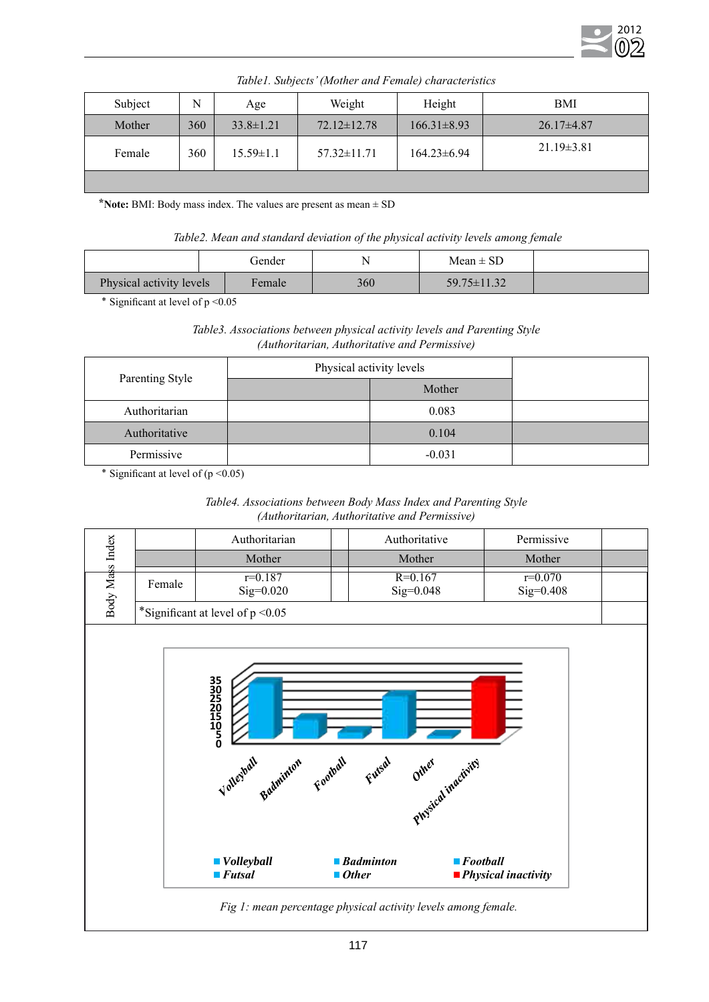

| Subject | N   | Age             | Weight            | Height            | <b>BMI</b>       |
|---------|-----|-----------------|-------------------|-------------------|------------------|
| Mother  | 360 | $33.8 \pm 1.21$ | $72.12 \pm 12.78$ | $166.31 \pm 8.93$ | $26.17\pm4.87$   |
| Female  | 360 | $15.59 \pm 1.1$ | $57.32 \pm 11.71$ | $164.23 \pm 6.94$ | $21.19 \pm 3.81$ |
|         |     |                 |                   |                   |                  |

*Table1. Subjects' (Mother and Female) characteristics*

**⃰ Note:** BMI: Body mass index. The values are present as mean ± SD

 *Table2. Mean and standard deviation of the physical activity levels among female*

|                          |  | Gender |     | $Mean \pm SD$     |  |
|--------------------------|--|--------|-----|-------------------|--|
| Physical activity levels |  | Female | 360 | $59.75 \pm 11.32$ |  |

٭ Significant at level of p <0.05

# *Table3. Associations between physical activity levels and Parenting Style (Authoritarian, Authoritative and Permissive)*

| Parenting Style | Physical activity levels |          |  |
|-----------------|--------------------------|----------|--|
|                 |                          | Mother   |  |
| Authoritarian   |                          | 0.083    |  |
| Authoritative   |                          | 0.104    |  |
| Permissive      |                          | $-0.031$ |  |

\* Significant at level of  $(p \le 0.05)$ 

| Table4. Associations between Body Mass Index and Parenting Style |
|------------------------------------------------------------------|
| (Authoritarian, Authoritative and Permissive)                    |

|                 |        | Authoritarian                                                                                        |                             | Authoritative                              | Permissive                         |  |
|-----------------|--------|------------------------------------------------------------------------------------------------------|-----------------------------|--------------------------------------------|------------------------------------|--|
|                 |        | Mother                                                                                               |                             | Mother                                     | Mother                             |  |
| Body Mass Index | Female | $r=0.187$<br>$Sig=0.020$                                                                             |                             | $R = 0.167$<br>$Sig=0.048$                 | $r=0.070$<br>$Sig=0.408$           |  |
|                 |        | *Significant at level of $p < 0.05$                                                                  |                             |                                            |                                    |  |
|                 |        | <b>350250110500</b><br>Voltesball Balminton Football Futsal<br>■ Volleyball<br>$\blacksquare$ Futsal | <b>Badminton</b><br>■ Other | Other inactives<br>$\blacksquare$ Football | $\blacksquare$ Physical inactivity |  |

 *Fig 1: mean percentage physical activity levels among female.*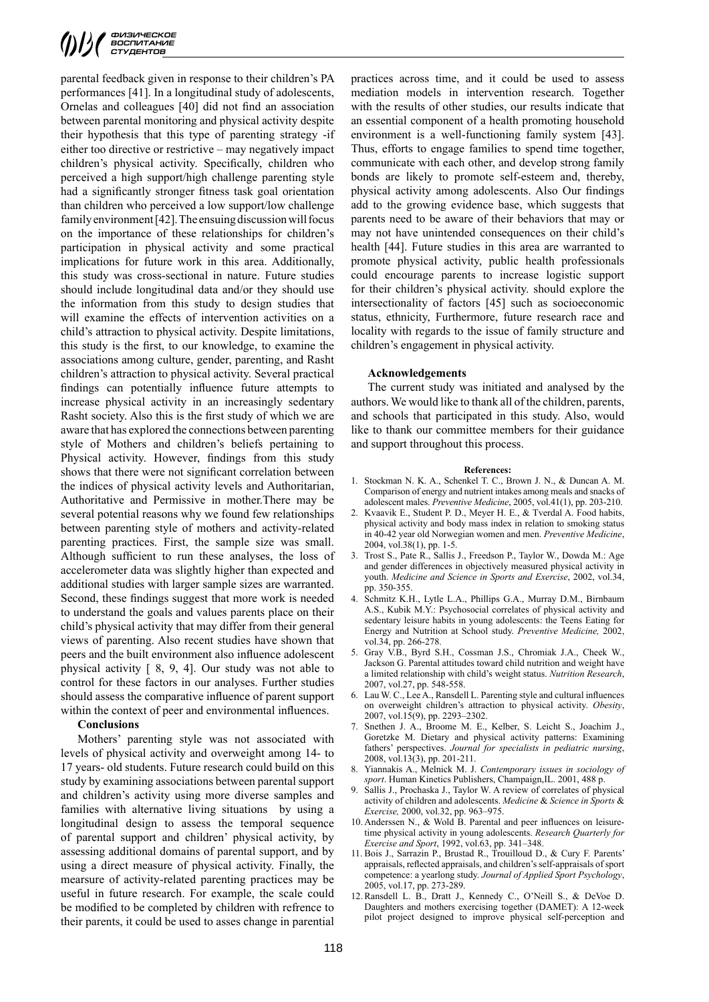parental feedback given in response to their children's PA performances [41]. In a longitudinal study of adolescents, Ornelas and colleagues [40] did not find an association between parental monitoring and physical activity despite their hypothesis that this type of parenting strategy -if either too directive or restrictive – may negatively impact children's physical activity. Specifically, children who perceived a high support/high challenge parenting style had a significantly stronger fitness task goal orientation than children who perceived a low support/low challenge family environment [42]. The ensuing discussion will focus on the importance of these relationships for children's participation in physical activity and some practical implications for future work in this area. Additionally, this study was cross-sectional in nature. Future studies should include longitudinal data and/or they should use the information from this study to design studies that will examine the effects of intervention activities on a child's attraction to physical activity. Despite limitations, this study is the first, to our knowledge, to examine the associations among culture, gender, parenting, and Rasht children's attraction to physical activity. Several practical findings can potentially influence future attempts to increase physical activity in an increasingly sedentary Rasht society. Also this is the first study of which we are aware that has explored the connections between parenting style of Mothers and children's beliefs pertaining to Physical activity. However, findings from this study shows that there were not significant correlation between the indices of physical activity levels and Authoritarian, Authoritative and Permissive in mother.There may be several potential reasons why we found few relationships between parenting style of mothers and activity-related parenting practices. First, the sample size was small. Although sufficient to run these analyses, the loss of accelerometer data was slightly higher than expected and additional studies with larger sample sizes are warranted. Second, these findings suggest that more work is needed to understand the goals and values parents place on their child's physical activity that may differ from their general views of parenting. Also recent studies have shown that peers and the built environment also influence adolescent physical activity [ 8, 9, 4]. Our study was not able to control for these factors in our analyses. Further studies should assess the comparative influence of parent support within the context of peer and environmental influences.

## **Conclusions**

Mothers' parenting style was not associated with levels of physical activity and overweight among 14- to 17 years- old students. Future research could build on this study by examining associations between parental support and children's activity using more diverse samples and families with alternative living situations by using a longitudinal design to assess the temporal sequence of parental support and children' physical activity, by assessing additional domains of parental support, and by using a direct measure of physical activity. Finally, the mearsure of activity-related parenting practices may be useful in future research. For example, the scale could be modified to be completed by children with refrence to their parents, it could be used to asses change in parential practices across time, and it could be used to assess mediation models in intervention research. Together with the results of other studies, our results indicate that an essential component of a health promoting household environment is a well-functioning family system [43]. Thus, efforts to engage families to spend time together, communicate with each other, and develop strong family bonds are likely to promote self-esteem and, thereby, physical activity among adolescents. Also Our findings add to the growing evidence base, which suggests that parents need to be aware of their behaviors that may or may not have unintended consequences on their child's health [44]. Future studies in this area are warranted to promote physical activity, public health professionals could encourage parents to increase logistic support for their children's physical activity. should explore the intersectionality of factors [45] such as socioeconomic status, ethnicity, Furthermore, future research race and locality with regards to the issue of family structure and children's engagement in physical activity.

#### **Acknowledgements**

The current study was initiated and analysed by the authors. We would like to thank all of the children, parents, and schools that participated in this study. Also, would like to thank our committee members for their guidance and support throughout this process.

#### **References:**

- 1. Stockman N. K. A., Schenkel T. C., Brown J. N., & Duncan A. M. Comparison of energy and nutrient intakes among meals and snacks of adolescent males. *Preventive Medicine*, 2005, vol.41(1), pp. 203-210.
- Kvaavik E., Student P. D., Meyer H. E., & Tverdal A. Food habits, physical activity and body mass index in relation to smoking status in 40-42 year old Norwegian women and men. *Preventive Medicine*, 2004, vol.38(1), pp. 1-5.
- 3. Trost S., Pate R., Sallis J., Freedson P., Taylor W., Dowda M.: Age and gender differences in objectively measured physical activity in youth. *Medicine and Science in Sports and Exercise*, 2002, vol.34, pp. 350-355.
- 4. Schmitz K.H., Lytle L.A., Phillips G.A., Murray D.M., Birnbaum A.S., Kubik M.Y.: Psychosocial correlates of physical activity and sedentary leisure habits in young adolescents: the Teens Eating for Energy and Nutrition at School study. *Preventive Medicine,* 2002, vol.34, pp. 266-278.
- 5. Gray V.B., Byrd S.H., Cossman J.S., Chromiak J.A., Cheek W., Jackson G. Parental attitudes toward child nutrition and weight have a limited relationship with child's weight status. *Nutrition Research*, 2007, vol.27, pp. 548-558.
- 6. Lau W. C., Lee A., Ransdell L. Parenting style and cultural influences on overweight children's attraction to physical activity. *Obesity*, 2007, vol.15(9), pp. 2293–2302.
- 7. Snethen J. A., Broome M. E., Kelber, S. Leicht S., Joachim J., Goretzke M. Dietary and physical activity patterns: Examining fathers' perspectives. *Journal for specialists in pediatric nursing*, 2008, vol.13(3), pp. 201-211.
- 8. Yiannakis A., Melnick M. J. *Contemporary issues in sociology of sport*. Human Kinetics Publishers, Champaign,IL. 2001, 488 p.
- 9. Sallis J., Prochaska J., Taylor W. A review of correlates of physical activity of children and adolescents. *Medicine* & *Science in Sports* & *Exercise,* 2000, vol.32, pp. 963–975.
- 10. Anderssen N., & Wold B. Parental and peer influences on leisuretime physical activity in young adolescents. *Research Quarterly for Exercise and Sport*, 1992, vol.63, pp. 341–348.
- 11. Bois J., Sarrazin P., Brustad R., Trouilloud D., & Cury F. Parents' appraisals, reflected appraisals, and children's self-appraisals of sport competence: a yearlong study. *Journal of Applied Sport Psychology*, 2005, vol.17, pp. 273-289.
- 12. Ransdell L. B., Dratt J., Kennedy C., O'Neill S., & DeVoe D. Daughters and mothers exercising together (DAMET): A 12-week pilot project designed to improve physical self-perception and